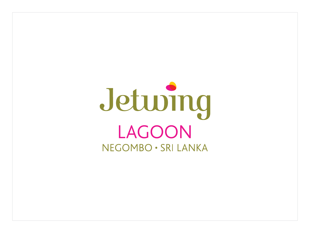# Jeturing LAGOON NEGOMBO · SRI LANKA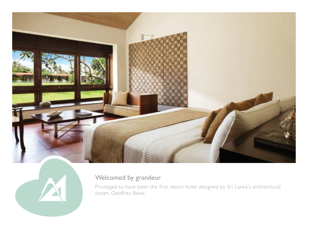



## Welcomed by grandeur

Privileged to have been the first resort hotel designed by Sri Lanka's architectural doyen, Geoffrey Bawa.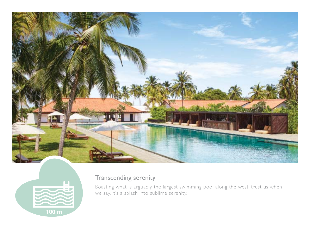



## Transcending serenity

Boasting what is arguably the largest swimming pool along the west, trust us when we say, it's a splash into sublime serenity.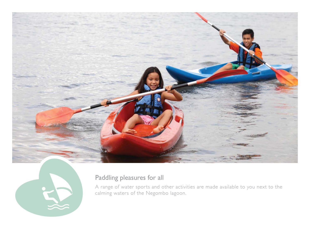



## Paddling pleasures for all

A range of water sports and other activities are made available to you next to the calming waters of the Negombo lagoon.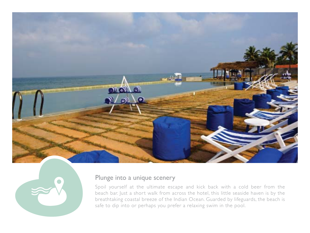



#### Plunge into a unique scenery

Spoil yourself at the ultimate escape and kick back with a cold beer from the beach bar. Just a short walk from across the hotel, this little seaside haven is by the breathtaking coastal breeze of the Indian Ocean. Guarded by lifeguards, the beach is safe to dip into or perhaps you prefer a relaxing swim in the pool.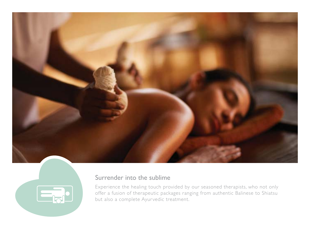



#### Surrender into the sublime

Experience the healing touch provided by our seasoned therapists, who not only offer a fusion of therapeutic packages ranging from authentic Balinese to Shiatsu but also a complete Ayurvedic treatment.